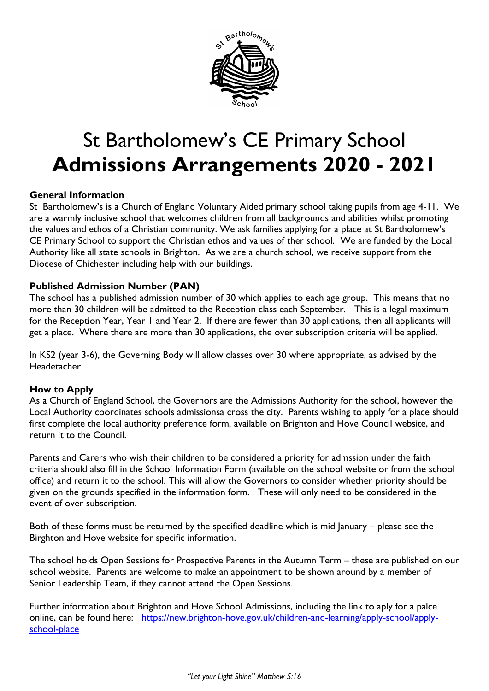

# St Bartholomew's CE Primary School **Admissions Arrangements 2020 - 2021**

# **General Information**

St Bartholomew's is a Church of England Voluntary Aided primary school taking pupils from age 4-11. We are a warmly inclusive school that welcomes children from all backgrounds and abilities whilst promoting the values and ethos of a Christian community. We ask families applying for a place at St Bartholomew's CE Primary School to support the Christian ethos and values of ther school. We are funded by the Local Authority like all state schools in Brighton. As we are a church school, we receive support from the Diocese of Chichester including help with our buildings.

## **Published Admission Number (PAN)**

The school has a published admission number of 30 which applies to each age group. This means that no more than 30 children will be admitted to the Reception class each September. This is a legal maximum for the Reception Year, Year 1 and Year 2. If there are fewer than 30 applications, then all applicants will get a place. Where there are more than 30 applications, the over subscription criteria will be applied.

In KS2 (year 3-6), the Governing Body will allow classes over 30 where appropriate, as advised by the Headetacher.

#### **How to Apply**

As a Church of England School, the Governors are the Admissions Authority for the school, however the Local Authority coordinates schools admissionsa cross the city. Parents wishing to apply for a place should first complete the local authority preference form, available on Brighton and Hove Council website, and return it to the Council.

Parents and Carers who wish their children to be considered a priority for admssion under the faith criteria should also fill in the School Information Form (available on the school website or from the school office) and return it to the school. This will allow the Governors to consider whether priority should be given on the grounds specified in the information form. These will only need to be considered in the event of over subscription.

Both of these forms must be returned by the specified deadline which is mid January – please see the Birghton and Hove website for specific information.

The school holds Open Sessions for Prospective Parents in the Autumn Term – these are published on our school website. Parents are welcome to make an appointment to be shown around by a member of Senior Leadership Team, if they cannot attend the Open Sessions.

Further information about Brighton and Hove School Admissions, including the link to aply for a palce online, can be found here: [https://new.brighton-hove.gov.uk/children-and-learning/apply-school/apply](https://new.brighton-hove.gov.uk/children-and-learning/apply-school/apply-school-place)[school-place](https://new.brighton-hove.gov.uk/children-and-learning/apply-school/apply-school-place)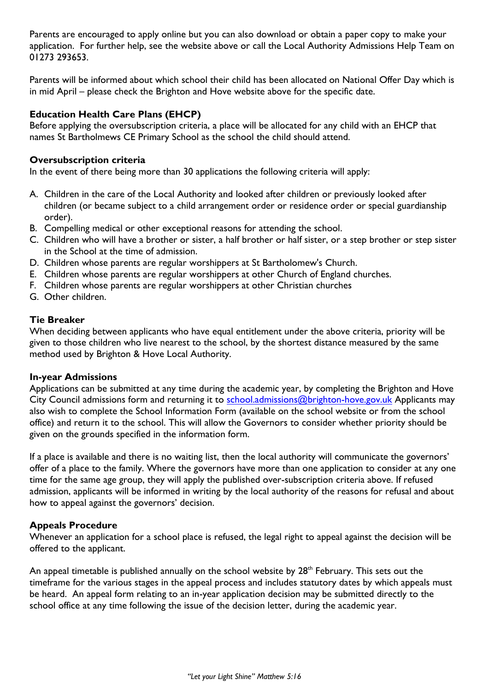Parents are encouraged to apply online but you can also download or obtain a paper copy to make your application. For further help, see the website above or call the Local Authority Admissions Help Team on 01273 293653.

Parents will be informed about which school their child has been allocated on National Offer Day which is in mid April – please check the Brighton and Hove website above for the specific date.

## **Education Health Care Plans (EHCP)**

Before applying the oversubscription criteria, a place will be allocated for any child with an EHCP that names St Bartholmews CE Primary School as the school the child should attend.

## **Oversubscription criteria**

In the event of there being more than 30 applications the following criteria will apply:

- A. Children in the care of the Local Authority and looked after children or previously looked after children (or became subject to a child arrangement order or residence order or special guardianship order).
- B. Compelling medical or other exceptional reasons for attending the school.
- C. Children who will have a brother or sister, a half brother or half sister, or a step brother or step sister in the School at the time of admission.
- D. Children whose parents are regular worshippers at St Bartholomew's Church.
- E. Children whose parents are regular worshippers at other Church of England churches.
- F. Children whose parents are regular worshippers at other Christian churches
- G. Other children.

## **Tie Breaker**

When deciding between applicants who have equal entitlement under the above criteria, priority will be given to those children who live nearest to the school, by the shortest distance measured by the same method used by Brighton & Hove Local Authority.

#### **In-year Admissions**

Applications can be submitted at any time during the academic year, by completing the Brighton and Hove City Council admissions form and returning it to [school.admissions@brighton-hove.gov.uk](mailto:school.admissions@brighton-hove.gov.uk) Applicants may also wish to complete the School Information Form (available on the school website or from the school office) and return it to the school. This will allow the Governors to consider whether priority should be given on the grounds specified in the information form.

If a place is available and there is no waiting list, then the local authority will communicate the governors' offer of a place to the family. Where the governors have more than one application to consider at any one time for the same age group, they will apply the published over-subscription criteria above. If refused admission, applicants will be informed in writing by the local authority of the reasons for refusal and about how to appeal against the governors' decision.

## **Appeals Procedure**

Whenever an application for a school place is refused, the legal right to appeal against the decision will be offered to the applicant.

An appeal timetable is published annually on the school website by  $28<sup>th</sup>$  February. This sets out the timeframe for the various stages in the appeal process and includes statutory dates by which appeals must be heard. An appeal form relating to an in-year application decision may be submitted directly to the school office at any time following the issue of the decision letter, during the academic year.